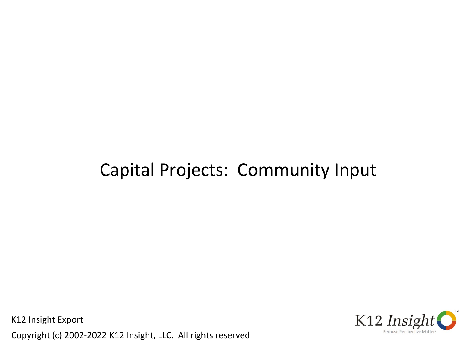# Capital Projects: Community Input

K12 Insight Export Copyright (c) 2002-2022 K12 Insight, LLC. All rights reserved

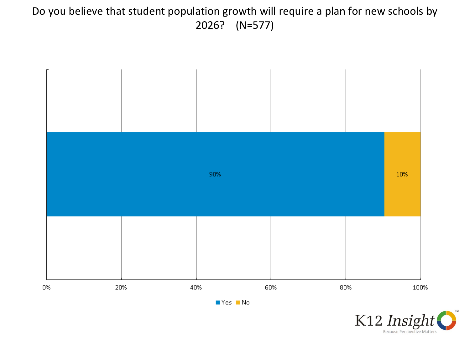# Do you believe that student population growth will require a plan for new schools by 2026? (N=577)



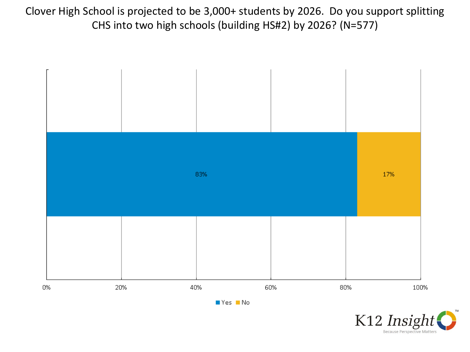Clover High School is projected to be 3,000+ students by 2026. Do you support splitting CHS into two high schools (building HS#2) by 2026? (N=577)



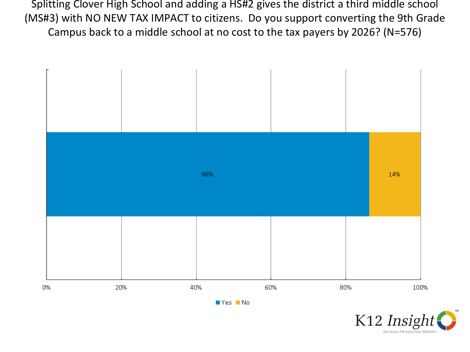Splitting Clover High School and adding a HS#2 gives the district a third middle school (MS#3) with NO NEW TAX IMPACT to citizens. Do you support converting the 9th Grade Campus back to a middle school at no cost to the tax payers by 2026? (N=576)



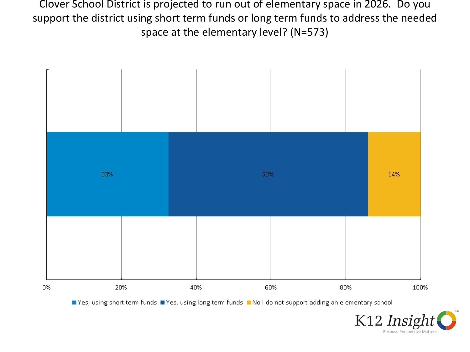Clover School District is projected to run out of elementary space in 2026. Do you support the district using short term funds or long term funds to address the needed space at the elementary level? (N=573)



■ Yes, using short term funds ■ Yes, using long term funds ■ No I do not support adding an elementary school

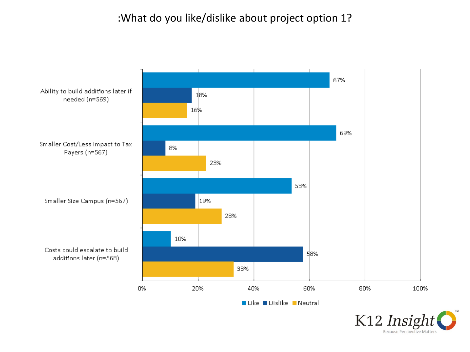# :What do you like/dislike about project option 1?



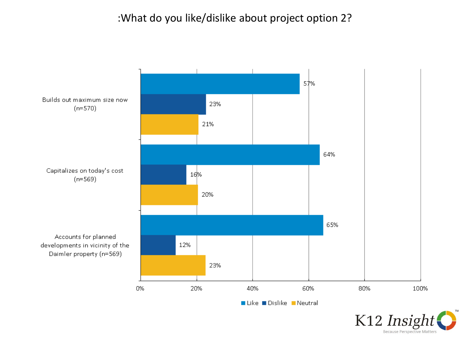# :What do you like/dislike about project option 2?



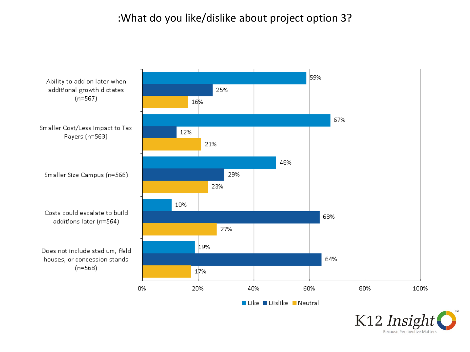#### :What do you like/dislike about project option 3?



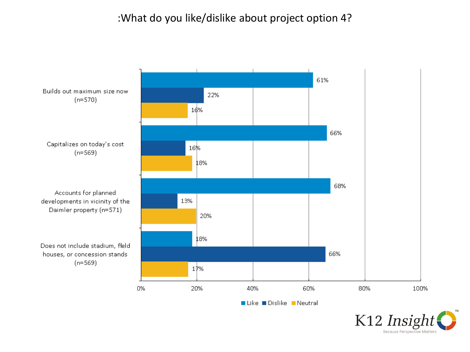# :What do you like/dislike about project option 4?



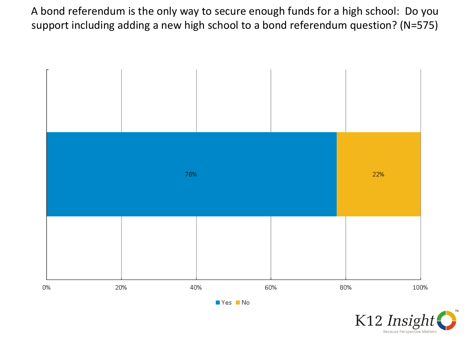A bond referendum is the only way to secure enough funds for a high school: Do you support including adding a new high school to a bond referendum question? (N=575)



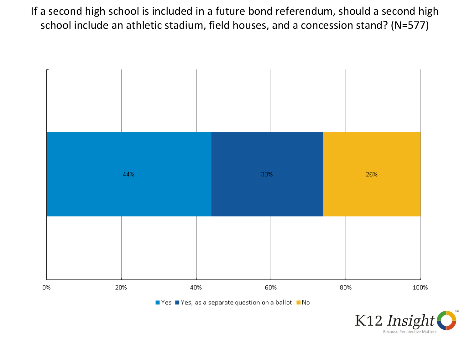If a second high school is included in a future bond referendum, should a second high school include an athletic stadium, field houses, and a concession stand? (N=577)



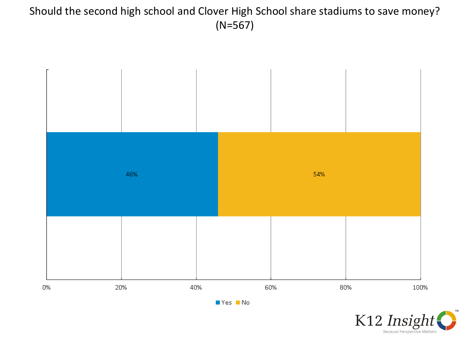# Should the second high school and Clover High School share stadiums to save money? (N=567)



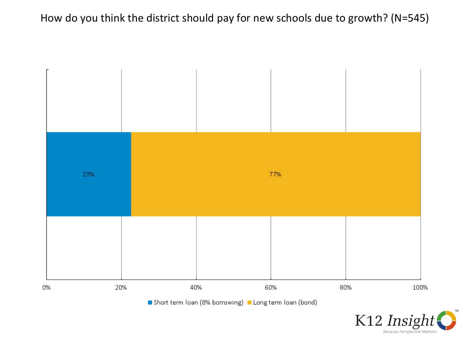# How do you think the district should pay for new schools due to growth? (N=545)